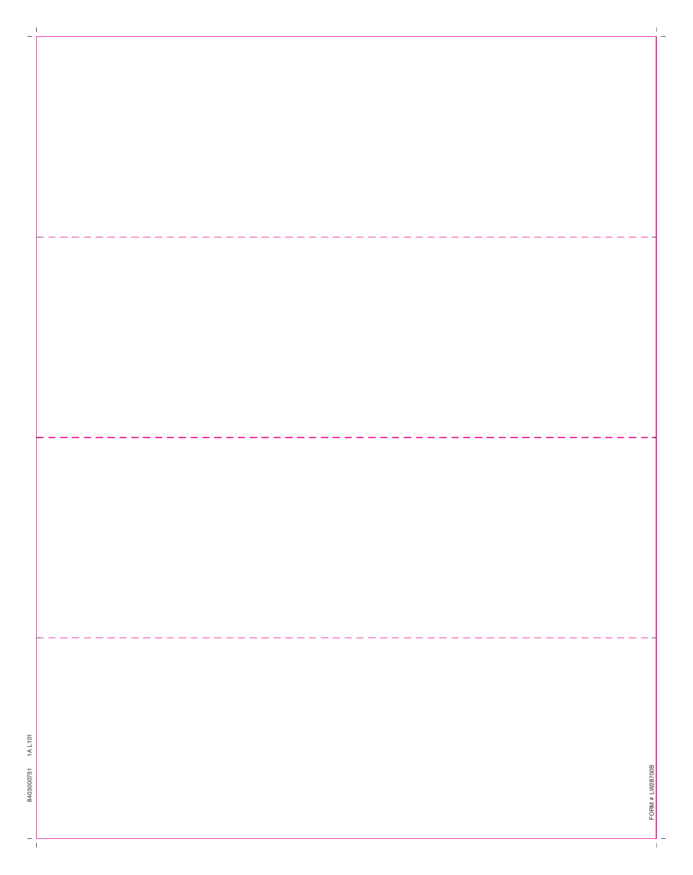$\perp$